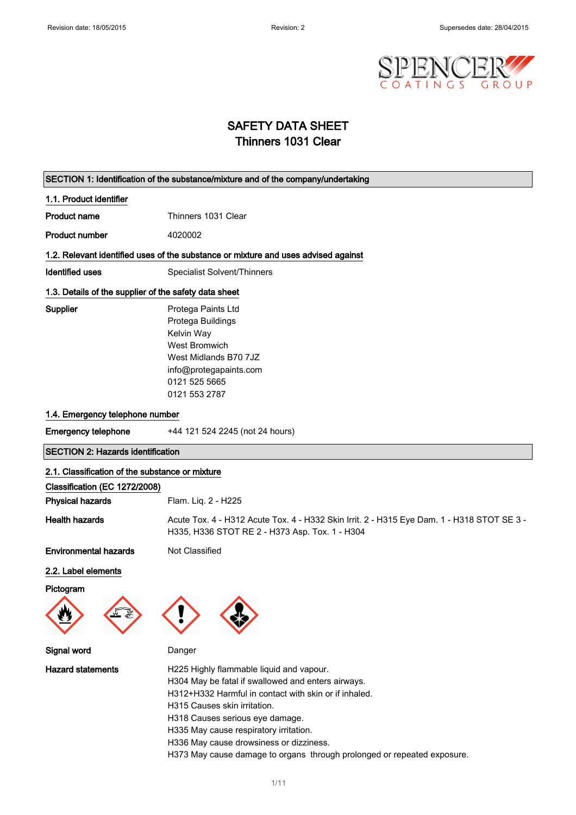

## SAFETY DATA SHEET Thinners 1031 Clear

#### SECTION 1: Identification of the substance/mixture and of the company/undertaking

#### 1.1. Product identifier

Product name<br>
Thinners 1031 Clear

Product number 4020002

#### 1.2. Relevant identified uses of the substance or mixture and uses advised against

Identified uses Specialist Solvent/Thinners

#### 1.3. Details of the supplier of the safety data sheet

Supplier

| Protega Paints Ltd     |
|------------------------|
| Protega Buildings      |
| Kelvin Way             |
| <b>West Bromwich</b>   |
| West Midlands B70 7JZ  |
| info@protegapaints.com |
| 0121 525 5665          |
| 0121 553 2787          |

#### 1.4. Emergency telephone number

| <b>Emergency telephone</b> | +44 121 524 2245 (not 24 hours) |
|----------------------------|---------------------------------|
|----------------------------|---------------------------------|

SECTION 2: Hazards identification

## 2.1. Classification of the substance or mixture Classification (EC 1272/2008) Physical hazards Flam. Liq. 2 - H225 Health hazards **Acute Tox. 4 - H312 Acute Tox. 4 - H332 Skin Irrit. 2 - H315 Eye Dam. 1 - H318 STOT SE 3 -**H335, H336 STOT RE 2 - H373 Asp. Tox. 1 - H304 **Environmental hazards** Not Classified

#### 2.2. Label elements

Pictogram





Signal word Danger



Hazard statements **H225 Highly flammable liquid and vapour.** H304 May be fatal if swallowed and enters airways. H312+H332 Harmful in contact with skin or if inhaled. H315 Causes skin irritation. H318 Causes serious eye damage. H335 May cause respiratory irritation. H336 May cause drowsiness or dizziness. H373 May cause damage to organs through prolonged or repeated exposure.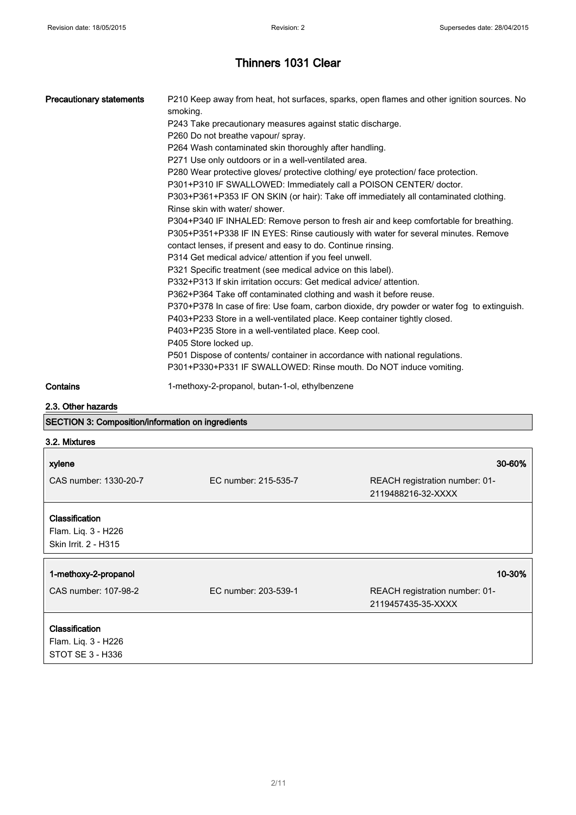| Precautionary statements | P210 Keep away from heat, hot surfaces, sparks, open flames and other ignition sources. No<br>smoking.<br>P243 Take precautionary measures against static discharge.<br>P260 Do not breathe vapour/ spray.<br>P264 Wash contaminated skin thoroughly after handling.<br>P271 Use only outdoors or in a well-ventilated area.<br>P280 Wear protective gloves/ protective clothing/ eye protection/ face protection.<br>P301+P310 IF SWALLOWED: Immediately call a POISON CENTER/ doctor.<br>P303+P361+P353 IF ON SKIN (or hair): Take off immediately all contaminated clothing.<br>Rinse skin with water/ shower.<br>P304+P340 IF INHALED: Remove person to fresh air and keep comfortable for breathing.<br>P305+P351+P338 IF IN EYES: Rinse cautiously with water for several minutes. Remove<br>contact lenses, if present and easy to do. Continue rinsing.<br>P314 Get medical advice/ attention if you feel unwell.<br>P321 Specific treatment (see medical advice on this label).<br>P332+P313 If skin irritation occurs: Get medical advice/ attention.<br>P362+P364 Take off contaminated clothing and wash it before reuse.<br>P370+P378 In case of fire: Use foam, carbon dioxide, dry powder or water fog to extinguish.<br>P403+P233 Store in a well-ventilated place. Keep container tightly closed.<br>P403+P235 Store in a well-ventilated place. Keep cool.<br>P405 Store locked up.<br>P501 Dispose of contents/ container in accordance with national regulations.<br>P301+P330+P331 IF SWALLOWED: Rinse mouth. Do NOT induce vomiting. |
|--------------------------|------------------------------------------------------------------------------------------------------------------------------------------------------------------------------------------------------------------------------------------------------------------------------------------------------------------------------------------------------------------------------------------------------------------------------------------------------------------------------------------------------------------------------------------------------------------------------------------------------------------------------------------------------------------------------------------------------------------------------------------------------------------------------------------------------------------------------------------------------------------------------------------------------------------------------------------------------------------------------------------------------------------------------------------------------------------------------------------------------------------------------------------------------------------------------------------------------------------------------------------------------------------------------------------------------------------------------------------------------------------------------------------------------------------------------------------------------------------------------------------------------------------------------------------------------------|
| Contains                 | 1-methoxy-2-propanol, butan-1-ol, ethylbenzene                                                                                                                                                                                                                                                                                                                                                                                                                                                                                                                                                                                                                                                                                                                                                                                                                                                                                                                                                                                                                                                                                                                                                                                                                                                                                                                                                                                                                                                                                                             |

2.3. Other hazards

|  | <b>SECTION 3: Composition/information on ingredients</b> |  |
|--|----------------------------------------------------------|--|
|--|----------------------------------------------------------|--|

| 3.2. Mixtures                                                 |                      |                                                      |
|---------------------------------------------------------------|----------------------|------------------------------------------------------|
| xylene                                                        |                      | 30-60%                                               |
| CAS number: 1330-20-7                                         | EC number: 215-535-7 | REACH registration number: 01-<br>2119488216-32-XXXX |
| Classification<br>Flam. Liq. 3 - H226<br>Skin Irrit. 2 - H315 |                      |                                                      |
| 1-methoxy-2-propanol                                          |                      | 10-30%                                               |
| CAS number: 107-98-2                                          | EC number: 203-539-1 | REACH registration number: 01-<br>2119457435-35-XXXX |
| Classification<br>Flam. Liq. 3 - H226                         |                      |                                                      |
| STOT SE 3 - H336                                              |                      |                                                      |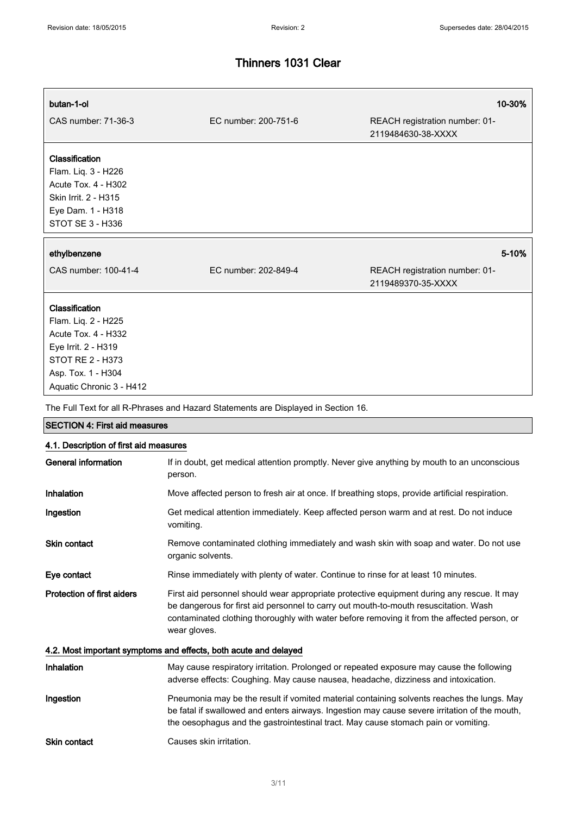# butan-1-ol 10-30% CAS number: 71-36-3 EC number: 200-751-6 REACH registration number: 01- 2119484630-38-XXXX

## **Classification**

Flam. Liq. 3 - H226 Acute Tox. 4 - H302 Skin Irrit. 2 - H315 Eye Dam. 1 - H318 STOT SE 3 - H336

#### ethylbenzene 5-10%

CAS number: 100-41-4 EC number: 202-849-4 REACH registration number: 01- 2119489370-35-XXXX

#### Classification

Flam. Liq. 2 - H225 Acute Tox. 4 - H332 Eye Irrit. 2 - H319 STOT RE 2 - H373 Asp. Tox. 1 - H304 Aquatic Chronic 3 - H412

The Full Text for all R-Phrases and Hazard Statements are Displayed in Section 16.

| <b>SECTION 4: First aid measures</b>                             |                                                                                                                                                                                                                                                                                                   |  |
|------------------------------------------------------------------|---------------------------------------------------------------------------------------------------------------------------------------------------------------------------------------------------------------------------------------------------------------------------------------------------|--|
| 4.1. Description of first aid measures                           |                                                                                                                                                                                                                                                                                                   |  |
| <b>General information</b>                                       | If in doubt, get medical attention promptly. Never give anything by mouth to an unconscious<br>person.                                                                                                                                                                                            |  |
| <b>Inhalation</b>                                                | Move affected person to fresh air at once. If breathing stops, provide artificial respiration.                                                                                                                                                                                                    |  |
| Ingestion                                                        | Get medical attention immediately. Keep affected person warm and at rest. Do not induce<br>vomiting.                                                                                                                                                                                              |  |
| <b>Skin contact</b>                                              | Remove contaminated clothing immediately and wash skin with soap and water. Do not use<br>organic solvents.                                                                                                                                                                                       |  |
| Eye contact                                                      | Rinse immediately with plenty of water. Continue to rinse for at least 10 minutes.                                                                                                                                                                                                                |  |
| <b>Protection of first aiders</b>                                | First aid personnel should wear appropriate protective equipment during any rescue. It may<br>be dangerous for first aid personnel to carry out mouth-to-mouth resuscitation. Wash<br>contaminated clothing thoroughly with water before removing it from the affected person, or<br>wear gloves. |  |
| 4.2. Most important symptoms and effects, both acute and delayed |                                                                                                                                                                                                                                                                                                   |  |
| Inhalation                                                       | May cause respiratory irritation. Prolonged or repeated exposure may cause the following<br>adverse effects: Coughing. May cause nausea, headache, dizziness and intoxication.                                                                                                                    |  |
| Ingestion                                                        | Pneumonia may be the result if vomited material containing solvents reaches the lungs. May<br>be fatal if swallowed and enters airways. Ingestion may cause severe irritation of the mouth,<br>the oesophagus and the gastrointestinal tract. May cause stomach pain or vomiting.                 |  |
| <b>Skin contact</b>                                              | Causes skin irritation.                                                                                                                                                                                                                                                                           |  |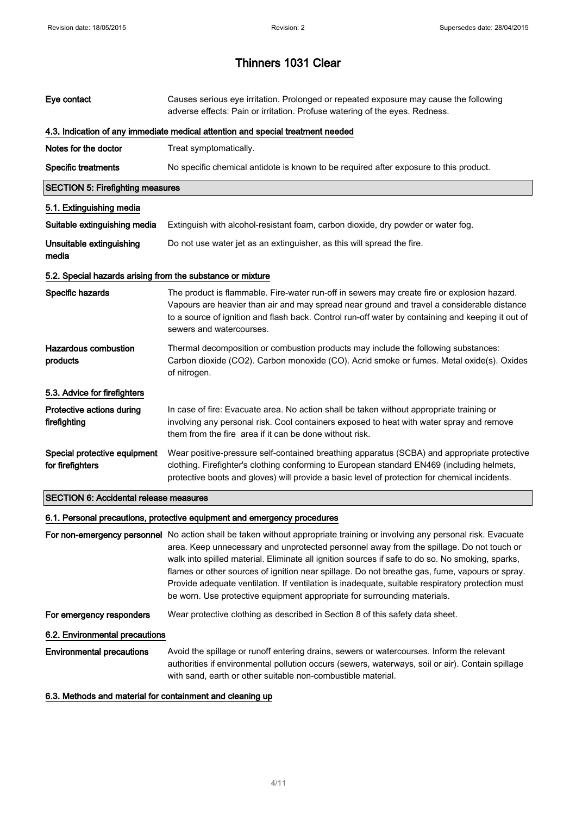| Eye contact                                                | Causes serious eye irritation. Prolonged or repeated exposure may cause the following<br>adverse effects: Pain or irritation. Profuse watering of the eyes. Redness.                                                                                                                                                                                                                                                                                                                                                                                                                                         |
|------------------------------------------------------------|--------------------------------------------------------------------------------------------------------------------------------------------------------------------------------------------------------------------------------------------------------------------------------------------------------------------------------------------------------------------------------------------------------------------------------------------------------------------------------------------------------------------------------------------------------------------------------------------------------------|
|                                                            | 4.3. Indication of any immediate medical attention and special treatment needed                                                                                                                                                                                                                                                                                                                                                                                                                                                                                                                              |
| Notes for the doctor                                       | Treat symptomatically.                                                                                                                                                                                                                                                                                                                                                                                                                                                                                                                                                                                       |
| <b>Specific treatments</b>                                 | No specific chemical antidote is known to be required after exposure to this product.                                                                                                                                                                                                                                                                                                                                                                                                                                                                                                                        |
| <b>SECTION 5: Firefighting measures</b>                    |                                                                                                                                                                                                                                                                                                                                                                                                                                                                                                                                                                                                              |
| 5.1. Extinguishing media                                   |                                                                                                                                                                                                                                                                                                                                                                                                                                                                                                                                                                                                              |
| Suitable extinguishing media                               | Extinguish with alcohol-resistant foam, carbon dioxide, dry powder or water fog.                                                                                                                                                                                                                                                                                                                                                                                                                                                                                                                             |
| Unsuitable extinguishing<br>media                          | Do not use water jet as an extinguisher, as this will spread the fire.                                                                                                                                                                                                                                                                                                                                                                                                                                                                                                                                       |
| 5.2. Special hazards arising from the substance or mixture |                                                                                                                                                                                                                                                                                                                                                                                                                                                                                                                                                                                                              |
| Specific hazards                                           | The product is flammable. Fire-water run-off in sewers may create fire or explosion hazard.<br>Vapours are heavier than air and may spread near ground and travel a considerable distance<br>to a source of ignition and flash back. Control run-off water by containing and keeping it out of<br>sewers and watercourses.                                                                                                                                                                                                                                                                                   |
| <b>Hazardous combustion</b><br>products                    | Thermal decomposition or combustion products may include the following substances:<br>Carbon dioxide (CO2). Carbon monoxide (CO). Acrid smoke or fumes. Metal oxide(s). Oxides<br>of nitrogen.                                                                                                                                                                                                                                                                                                                                                                                                               |
| 5.3. Advice for firefighters                               |                                                                                                                                                                                                                                                                                                                                                                                                                                                                                                                                                                                                              |
| Protective actions during<br>firefighting                  | In case of fire: Evacuate area. No action shall be taken without appropriate training or<br>involving any personal risk. Cool containers exposed to heat with water spray and remove<br>them from the fire area if it can be done without risk.                                                                                                                                                                                                                                                                                                                                                              |
| Special protective equipment<br>for firefighters           | Wear positive-pressure self-contained breathing apparatus (SCBA) and appropriate protective<br>clothing. Firefighter's clothing conforming to European standard EN469 (including helmets,<br>protective boots and gloves) will provide a basic level of protection for chemical incidents.                                                                                                                                                                                                                                                                                                                   |
| <b>SECTION 6: Accidental release measures</b>              |                                                                                                                                                                                                                                                                                                                                                                                                                                                                                                                                                                                                              |
|                                                            | 6.1. Personal precautions, protective equipment and emergency procedures                                                                                                                                                                                                                                                                                                                                                                                                                                                                                                                                     |
|                                                            | For non-emergency personnel No action shall be taken without appropriate training or involving any personal risk. Evacuate<br>area. Keep unnecessary and unprotected personnel away from the spillage. Do not touch or<br>walk into spilled material. Eliminate all ignition sources if safe to do so. No smoking, sparks,<br>flames or other sources of ignition near spillage. Do not breathe gas, fume, vapours or spray.<br>Provide adequate ventilation. If ventilation is inadequate, suitable respiratory protection must<br>be worn. Use protective equipment appropriate for surrounding materials. |
| For emergency responders                                   | Wear protective clothing as described in Section 8 of this safety data sheet.                                                                                                                                                                                                                                                                                                                                                                                                                                                                                                                                |
| 6.2. Environmental precautions                             |                                                                                                                                                                                                                                                                                                                                                                                                                                                                                                                                                                                                              |
| <b>Environmental precautions</b>                           | Avoid the spillage or runoff entering drains, sewers or watercourses. Inform the relevant<br>authorities if environmental pollution occurs (sewers, waterways, soil or air). Contain spillage<br>with sand, earth or other suitable non-combustible material.                                                                                                                                                                                                                                                                                                                                                |

6.3. Methods and material for containment and cleaning up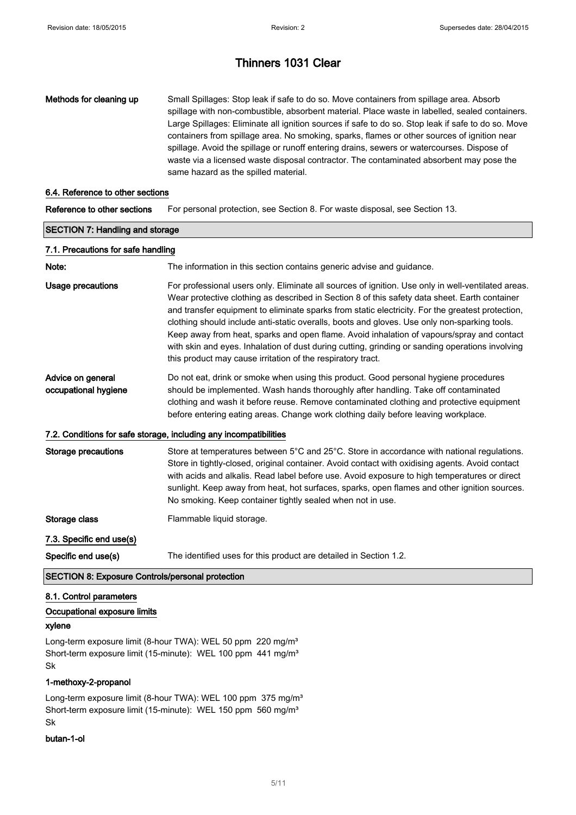Methods for cleaning up Small Spillages: Stop leak if safe to do so. Move containers from spillage area. Absorb spillage with non-combustible, absorbent material. Place waste in labelled, sealed containers. Large Spillages: Eliminate all ignition sources if safe to do so. Stop leak if safe to do so. Move containers from spillage area. No smoking, sparks, flames or other sources of ignition near spillage. Avoid the spillage or runoff entering drains, sewers or watercourses. Dispose of waste via a licensed waste disposal contractor. The contaminated absorbent may pose the same hazard as the spilled material.

#### 6.4. Reference to other sections

Reference to other sections For personal protection, see Section 8. For waste disposal, see Section 13.

| <b>SECTION 7: Handling and storage</b>    |                                                                                                                                                                                                                                                                                                                                                                                                                                                                                                                                                                                                                                                                        |  |
|-------------------------------------------|------------------------------------------------------------------------------------------------------------------------------------------------------------------------------------------------------------------------------------------------------------------------------------------------------------------------------------------------------------------------------------------------------------------------------------------------------------------------------------------------------------------------------------------------------------------------------------------------------------------------------------------------------------------------|--|
| 7.1. Precautions for safe handling        |                                                                                                                                                                                                                                                                                                                                                                                                                                                                                                                                                                                                                                                                        |  |
| Note:                                     | The information in this section contains generic advise and guidance.                                                                                                                                                                                                                                                                                                                                                                                                                                                                                                                                                                                                  |  |
| <b>Usage precautions</b>                  | For professional users only. Eliminate all sources of ignition. Use only in well-ventilated areas.<br>Wear protective clothing as described in Section 8 of this safety data sheet. Earth container<br>and transfer equipment to eliminate sparks from static electricity. For the greatest protection,<br>clothing should include anti-static overalls, boots and gloves. Use only non-sparking tools.<br>Keep away from heat, sparks and open flame. Avoid inhalation of vapours/spray and contact<br>with skin and eyes. Inhalation of dust during cutting, grinding or sanding operations involving<br>this product may cause irritation of the respiratory tract. |  |
| Advice on general<br>occupational hygiene | Do not eat, drink or smoke when using this product. Good personal hygiene procedures<br>should be implemented. Wash hands thoroughly after handling. Take off contaminated<br>clothing and wash it before reuse. Remove contaminated clothing and protective equipment<br>before entering eating areas. Change work clothing daily before leaving workplace.                                                                                                                                                                                                                                                                                                           |  |
|                                           | 7.2. Conditions for safe storage, including any incompatibilities                                                                                                                                                                                                                                                                                                                                                                                                                                                                                                                                                                                                      |  |
| <b>Storage precautions</b>                | Store at temperatures between 5°C and 25°C. Store in accordance with national regulations.<br>Store in tightly-closed, original container. Avoid contact with oxidising agents. Avoid contact<br>with acids and alkalis. Read label before use. Avoid exposure to high temperatures or direct<br>sunlight. Keep away from heat, hot surfaces, sparks, open flames and other ignition sources.<br>No smoking. Keep container tightly sealed when not in use.                                                                                                                                                                                                            |  |
| Storage class                             | Flammable liquid storage.                                                                                                                                                                                                                                                                                                                                                                                                                                                                                                                                                                                                                                              |  |
| 7.3. Specific end use(s)                  |                                                                                                                                                                                                                                                                                                                                                                                                                                                                                                                                                                                                                                                                        |  |
| Specific end use(s)                       | The identified uses for this product are detailed in Section 1.2.                                                                                                                                                                                                                                                                                                                                                                                                                                                                                                                                                                                                      |  |

SECTION 8: Exposure Controls/personal protection

#### 8.1. Control parameters

#### Occupational exposure limits

#### xylene

Long-term exposure limit (8-hour TWA): WEL 50 ppm 220 mg/m<sup>3</sup> Short-term exposure limit (15-minute): WEL 100 ppm 441 mg/m<sup>3</sup> Sk

#### 1-methoxy-2-propanol

Long-term exposure limit (8-hour TWA): WEL 100 ppm 375 mg/m<sup>3</sup> Short-term exposure limit (15-minute): WEL 150 ppm 560 mg/m<sup>3</sup> Sk

#### butan-1-ol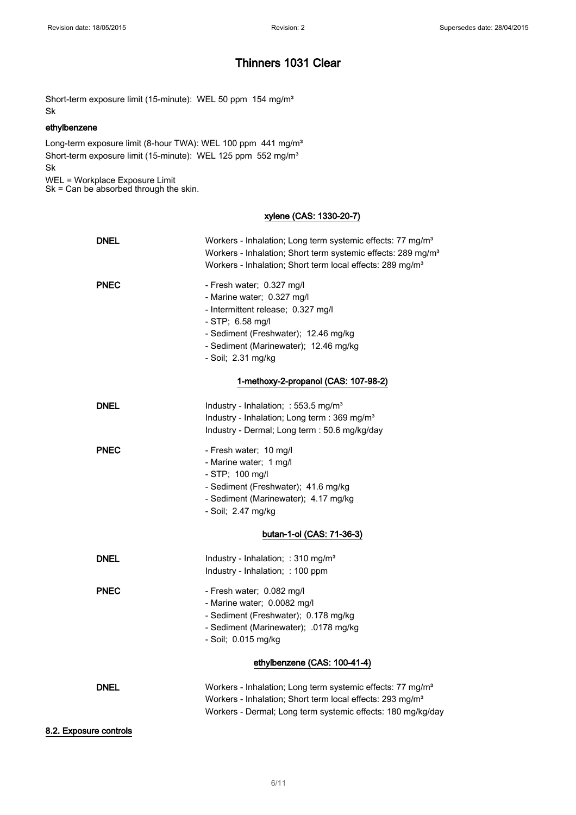Short-term exposure limit (15-minute): WEL 50 ppm 154 mg/m<sup>3</sup> Sk

#### ethylbenzene

Long-term exposure limit (8-hour TWA): WEL 100 ppm 441 mg/m<sup>3</sup> Short-term exposure limit (15-minute): WEL 125 ppm 552 mg/m<sup>3</sup> Sk

WEL = Workplace Exposure Limit Sk = Can be absorbed through the skin.

### xylene (CAS: 1330-20-7)

| <b>DNEL</b> | Workers - Inhalation; Long term systemic effects: 77 mg/m <sup>3</sup><br>Workers - Inhalation; Short term systemic effects: 289 mg/m <sup>3</sup><br>Workers - Inhalation; Short term local effects: 289 mg/m <sup>3</sup> |
|-------------|-----------------------------------------------------------------------------------------------------------------------------------------------------------------------------------------------------------------------------|
| <b>PNEC</b> | - Fresh water; 0.327 mg/l<br>- Marine water; 0.327 mg/l<br>- Intermittent release; 0.327 mg/l<br>- STP; 6.58 mg/l<br>- Sediment (Freshwater); 12.46 mg/kg<br>- Sediment (Marinewater); 12.46 mg/kg<br>- Soil; 2.31 mg/kg    |
|             | 1-methoxy-2-propanol (CAS: 107-98-2)                                                                                                                                                                                        |
| <b>DNEL</b> | Industry - Inhalation; : 553.5 mg/m <sup>3</sup><br>Industry - Inhalation; Long term : 369 mg/m <sup>3</sup><br>Industry - Dermal; Long term : 50.6 mg/kg/day                                                               |
| <b>PNEC</b> | - Fresh water; 10 mg/l<br>- Marine water; 1 mg/l<br>- STP; 100 mg/l<br>- Sediment (Freshwater); 41.6 mg/kg<br>- Sediment (Marinewater); 4.17 mg/kg<br>- Soil; 2.47 mg/kg                                                    |
|             | butan-1-ol (CAS: 71-36-3)                                                                                                                                                                                                   |
| <b>DNEL</b> | Industry - Inhalation; : 310 mg/m <sup>3</sup><br>Industry - Inhalation; : 100 ppm                                                                                                                                          |
| <b>PNEC</b> | - Fresh water; 0.082 mg/l<br>- Marine water; 0.0082 mg/l<br>- Sediment (Freshwater); 0.178 mg/kg<br>- Sediment (Marinewater); .0178 mg/kg<br>- Soil; 0.015 mg/kg                                                            |
|             | ethylbenzene (CAS: 100-41-4)                                                                                                                                                                                                |
| <b>DNEL</b> | Workers - Inhalation; Long term systemic effects: 77 mg/m <sup>3</sup><br>Workers - Inhalation; Short term local effects: 293 mg/m <sup>3</sup><br>Workers - Dermal; Long term systemic effects: 180 mg/kg/day              |

#### 8.2. Exposure controls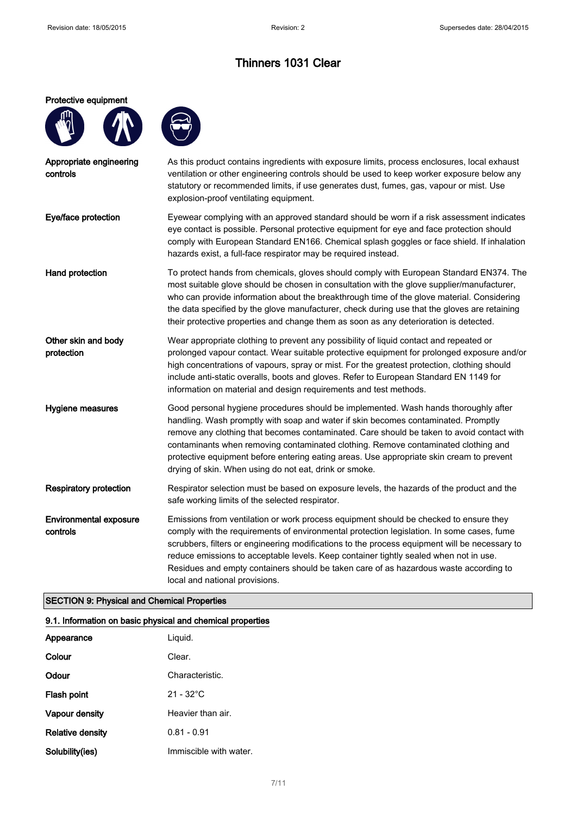#### Protective equipment



| Appropriate engineering<br>controls       | As this product contains ingredients with exposure limits, process enclosures, local exhaust<br>ventilation or other engineering controls should be used to keep worker exposure below any<br>statutory or recommended limits, if use generates dust, fumes, gas, vapour or mist. Use<br>explosion-proof ventilating equipment.                                                                                                                                                                                    |
|-------------------------------------------|--------------------------------------------------------------------------------------------------------------------------------------------------------------------------------------------------------------------------------------------------------------------------------------------------------------------------------------------------------------------------------------------------------------------------------------------------------------------------------------------------------------------|
| Eye/face protection                       | Eyewear complying with an approved standard should be worn if a risk assessment indicates<br>eye contact is possible. Personal protective equipment for eye and face protection should<br>comply with European Standard EN166. Chemical splash goggles or face shield. If inhalation<br>hazards exist, a full-face respirator may be required instead.                                                                                                                                                             |
| Hand protection                           | To protect hands from chemicals, gloves should comply with European Standard EN374. The<br>most suitable glove should be chosen in consultation with the glove supplier/manufacturer,<br>who can provide information about the breakthrough time of the glove material. Considering<br>the data specified by the glove manufacturer, check during use that the gloves are retaining<br>their protective properties and change them as soon as any deterioration is detected.                                       |
| Other skin and body<br>protection         | Wear appropriate clothing to prevent any possibility of liquid contact and repeated or<br>prolonged vapour contact. Wear suitable protective equipment for prolonged exposure and/or<br>high concentrations of vapours, spray or mist. For the greatest protection, clothing should<br>include anti-static overalls, boots and gloves. Refer to European Standard EN 1149 for<br>information on material and design requirements and test methods.                                                                 |
| Hygiene measures                          | Good personal hygiene procedures should be implemented. Wash hands thoroughly after<br>handling. Wash promptly with soap and water if skin becomes contaminated. Promptly<br>remove any clothing that becomes contaminated. Care should be taken to avoid contact with<br>contaminants when removing contaminated clothing. Remove contaminated clothing and<br>protective equipment before entering eating areas. Use appropriate skin cream to prevent<br>drying of skin. When using do not eat, drink or smoke. |
| <b>Respiratory protection</b>             | Respirator selection must be based on exposure levels, the hazards of the product and the<br>safe working limits of the selected respirator.                                                                                                                                                                                                                                                                                                                                                                       |
| <b>Environmental exposure</b><br>controls | Emissions from ventilation or work process equipment should be checked to ensure they<br>comply with the requirements of environmental protection legislation. In some cases, fume<br>scrubbers, filters or engineering modifications to the process equipment will be necessary to<br>reduce emissions to acceptable levels. Keep container tightly sealed when not in use.<br>Residues and empty containers should be taken care of as hazardous waste according to<br>local and national provisions.            |

### SECTION 9: Physical and Chemical Properties

## 9.1. Information on basic physical and chemical properties

| Appearance              | Liquid.                |
|-------------------------|------------------------|
| Colour                  | Clear.                 |
| Odour                   | Characteristic.        |
| Flash point             | $21 - 32^{\circ}$ C    |
| Vapour density          | Heavier than air.      |
| <b>Relative density</b> | $0.81 - 0.91$          |
| Solubility(ies)         | Immiscible with water. |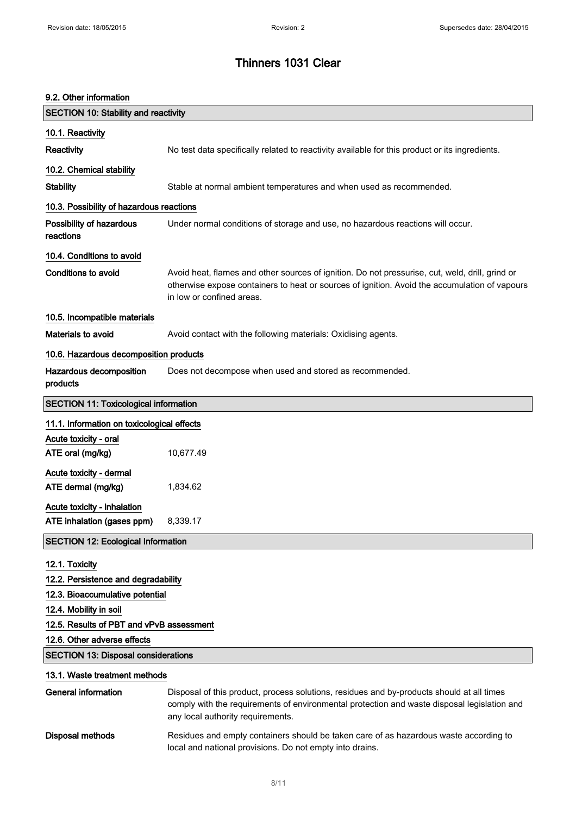# 9.2. Other information SECTION 10: Stability and reactivity 10.1. Reactivity Reactivity No test data specifically related to reactivity available for this product or its ingredients. 10.2. Chemical stability Stability Stable at normal ambient temperatures and when used as recommended. 10.3. Possibility of hazardous reactions Possibility of hazardous reactions Under normal conditions of storage and use, no hazardous reactions will occur. 10.4. Conditions to avoid Conditions to avoid **Avoid heat, flames and other sources of ignition**. Do not pressurise, cut, weld, drill, grind or otherwise expose containers to heat or sources of ignition. Avoid the accumulation of vapours in low or confined areas. 10.5. Incompatible materials Materials to avoid **Avoid contact with the following materials:** Oxidising agents. 10.6. Hazardous decomposition products Hazardous decomposition products Does not decompose when used and stored as recommended. SECTION 11: Toxicological information 11.1. Information on toxicological effects Acute toxicity - oral ATE oral (mg/kg) 10,677.49 Acute toxicity - dermal ATE dermal (mg/kg) 1,834.62 Acute toxicity - inhalation ATE inhalation (gases ppm) 8,339.17 SECTION 12: Ecological Information 12.1. Toxicity 12.2. Persistence and degradability 12.3. Bioaccumulative potential 12.4. Mobility in soil 12.5. Results of PBT and vPvB assessment 12.6. Other adverse effects SECTION 13: Disposal considerations 13.1. Waste treatment methods General information Disposal of this product, process solutions, residues and by-products should at all times comply with the requirements of environmental protection and waste disposal legislation and any local authority requirements. Disposal methods Residues and empty containers should be taken care of as hazardous waste according to local and national provisions. Do not empty into drains.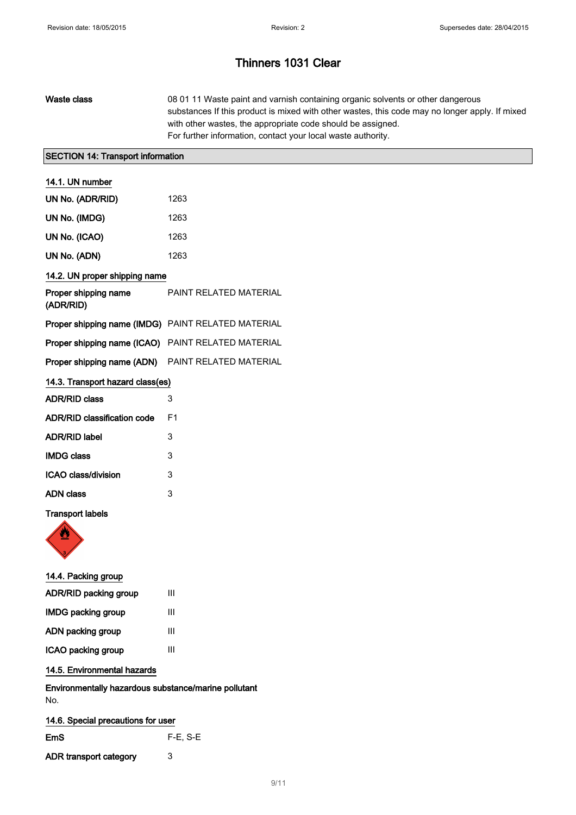| Waste class | 08 01 11 Waste paint and varnish containing organic solvents or other dangerous                |
|-------------|------------------------------------------------------------------------------------------------|
|             | substances If this product is mixed with other wastes, this code may no longer apply. If mixed |
|             | with other wastes, the appropriate code should be assigned.                                    |
|             | For further information, contact your local waste authority.                                   |
|             |                                                                                                |

## SECTION 14: Transport information

| 14.1. UN number                                          |                               |  |
|----------------------------------------------------------|-------------------------------|--|
| UN No. (ADR/RID)                                         | 1263                          |  |
| UN No. (IMDG)                                            | 1263                          |  |
| UN No. (ICAO)                                            | 1263                          |  |
| UN No. (ADN)                                             | 1263                          |  |
| 14.2. UN proper shipping name                            |                               |  |
| Proper shipping name<br>(ADR/RID)                        | <b>PAINT RELATED MATERIAL</b> |  |
| Proper shipping name (IMDG) PAINT RELATED MATERIAL       |                               |  |
| Proper shipping name (ICAO) PAINT RELATED MATERIAL       |                               |  |
| <b>Proper shipping name (ADN)</b> PAINT RELATED MATERIAL |                               |  |
| 14.3. Transport hazard class(es)                         |                               |  |
| <b>ADR/RID class</b>                                     | 3                             |  |
| <b>ADR/RID classification code</b>                       | F <sub>1</sub>                |  |
| <b>ADR/RID label</b>                                     | 3                             |  |
| <b>IMDG class</b>                                        | 3                             |  |
| ICAO class/division                                      | 3                             |  |
| <b>ADN class</b>                                         | 3                             |  |

### Transport labels



| 14.4. Packing group          |   |
|------------------------------|---|
| <b>ADR/RID packing group</b> | Ш |
| <b>IMDG packing group</b>    | Ш |
| ADN packing group            | Ш |
| ICAO packing group           | Ш |
|                              |   |

## 14.5. Environmental hazards

Environmentally hazardous substance/marine pollutant No.

| 14.6. Special precautions for user |            |
|------------------------------------|------------|
| EmS                                | $F-E. S-E$ |
| ADR transport category             | 3          |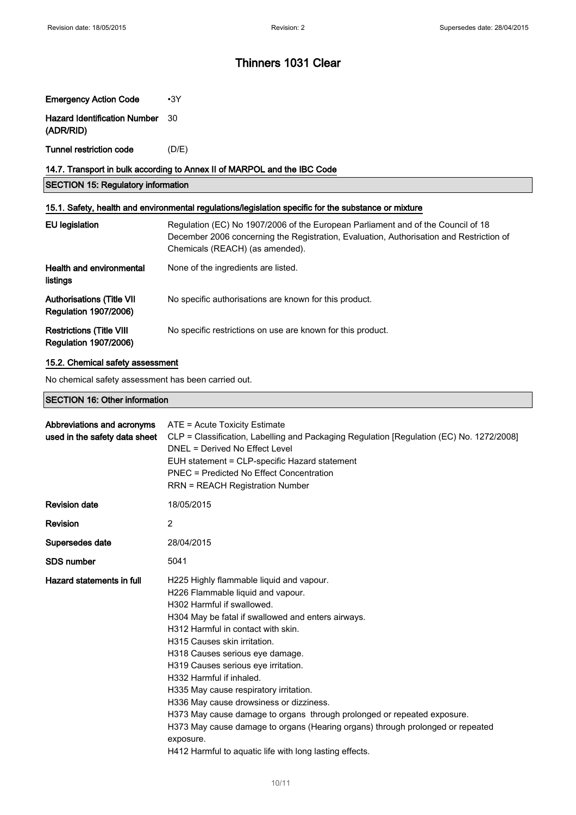| <b>Emergency Action Code</b>                                                                         | $\cdot$ 3Y                                                                                                                                                                                                     |  |  |  |
|------------------------------------------------------------------------------------------------------|----------------------------------------------------------------------------------------------------------------------------------------------------------------------------------------------------------------|--|--|--|
| <b>Hazard Identification Number</b><br>(ADR/RID)                                                     | 30                                                                                                                                                                                                             |  |  |  |
| <b>Tunnel restriction code</b>                                                                       | (D/E)                                                                                                                                                                                                          |  |  |  |
| 14.7. Transport in bulk according to Annex II of MARPOL and the IBC Code                             |                                                                                                                                                                                                                |  |  |  |
| <b>SECTION 15: Regulatory information</b>                                                            |                                                                                                                                                                                                                |  |  |  |
| 15.1. Safety, health and environmental regulations/legislation specific for the substance or mixture |                                                                                                                                                                                                                |  |  |  |
| <b>EU</b> legislation                                                                                | Regulation (EC) No 1907/2006 of the European Parliament and of the Council of 18<br>December 2006 concerning the Registration, Evaluation, Authorisation and Restriction of<br>Chemicals (REACH) (as amended). |  |  |  |
| Health and environmental<br>listings                                                                 | None of the ingredients are listed.                                                                                                                                                                            |  |  |  |
| <b>Authorisations (Title VII</b><br><b>Regulation 1907/2006)</b>                                     | No specific authorisations are known for this product.                                                                                                                                                         |  |  |  |
| <b>Restrictions (Title VIII</b><br><b>Regulation 1907/2006)</b>                                      | No specific restrictions on use are known for this product.                                                                                                                                                    |  |  |  |

## 15.2. Chemical safety assessment

No chemical safety assessment has been carried out.

## SECTION 16: Other information

| Abbreviations and acronyms<br>used in the safety data sheet | ATE = Acute Toxicity Estimate<br>CLP = Classification, Labelling and Packaging Regulation [Regulation (EC) No. 1272/2008]<br>DNEL = Derived No Effect Level<br>EUH statement = CLP-specific Hazard statement<br>PNEC = Predicted No Effect Concentration<br><b>RRN = REACH Registration Number</b>                                                                                                                                                                                                                                                                                                                                                                      |
|-------------------------------------------------------------|-------------------------------------------------------------------------------------------------------------------------------------------------------------------------------------------------------------------------------------------------------------------------------------------------------------------------------------------------------------------------------------------------------------------------------------------------------------------------------------------------------------------------------------------------------------------------------------------------------------------------------------------------------------------------|
| <b>Revision date</b>                                        | 18/05/2015                                                                                                                                                                                                                                                                                                                                                                                                                                                                                                                                                                                                                                                              |
| Revision                                                    | 2                                                                                                                                                                                                                                                                                                                                                                                                                                                                                                                                                                                                                                                                       |
| Supersedes date                                             | 28/04/2015                                                                                                                                                                                                                                                                                                                                                                                                                                                                                                                                                                                                                                                              |
| <b>SDS number</b>                                           | 5041                                                                                                                                                                                                                                                                                                                                                                                                                                                                                                                                                                                                                                                                    |
| Hazard statements in full                                   | H225 Highly flammable liquid and vapour.<br>H226 Flammable liquid and vapour.<br>H302 Harmful if swallowed.<br>H304 May be fatal if swallowed and enters airways.<br>H312 Harmful in contact with skin.<br>H315 Causes skin irritation.<br>H318 Causes serious eye damage.<br>H319 Causes serious eye irritation.<br>H332 Harmful if inhaled.<br>H335 May cause respiratory irritation.<br>H336 May cause drowsiness or dizziness.<br>H373 May cause damage to organs through prolonged or repeated exposure.<br>H373 May cause damage to organs (Hearing organs) through prolonged or repeated<br>exposure.<br>H412 Harmful to aquatic life with long lasting effects. |